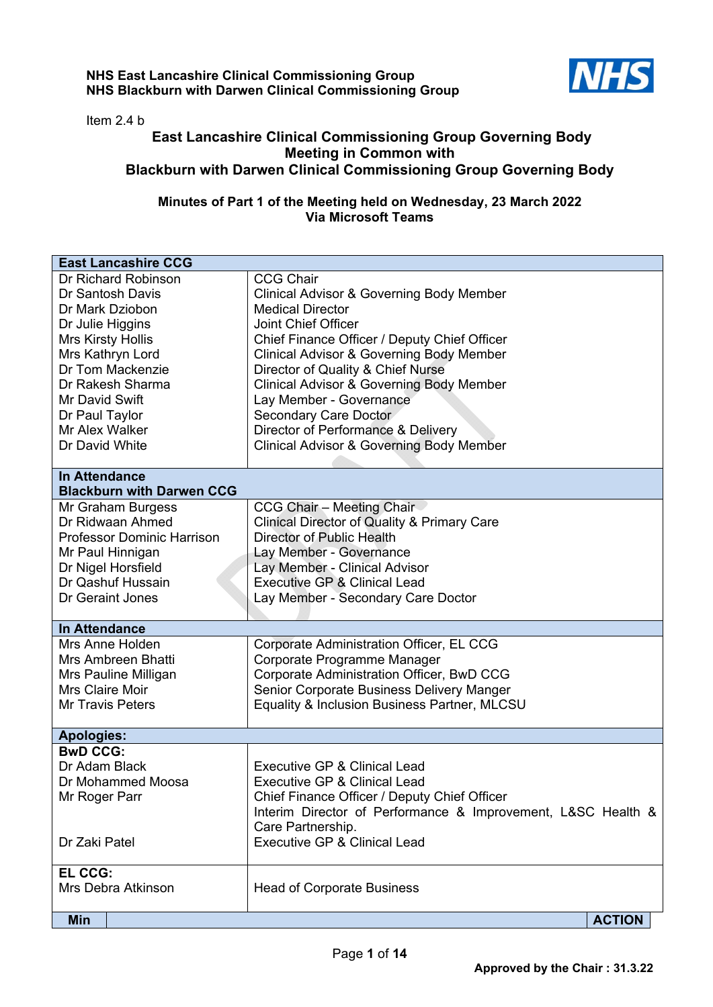## **NHS East Lancashire Clinical Commissioning Group NHS Blackburn with Darwen Clinical Commissioning Group**



Item 2.4 b

## **East Lancashire Clinical Commissioning Group Governing Body Meeting in Common with Blackburn with Darwen Clinical Commissioning Group Governing Body**

## **Minutes of Part 1 of the Meeting held on Wednesday, 23 March 2022 Via Microsoft Teams**

| <b>East Lancashire CCG</b>           |                                                              |
|--------------------------------------|--------------------------------------------------------------|
| Dr Richard Robinson                  | <b>CCG Chair</b>                                             |
| Dr Santosh Davis                     | <b>Clinical Advisor &amp; Governing Body Member</b>          |
| Dr Mark Dziobon                      | <b>Medical Director</b>                                      |
| Dr Julie Higgins                     | <b>Joint Chief Officer</b>                                   |
| Mrs Kirsty Hollis                    | Chief Finance Officer / Deputy Chief Officer                 |
| Mrs Kathryn Lord                     | <b>Clinical Advisor &amp; Governing Body Member</b>          |
| Dr Tom Mackenzie                     | Director of Quality & Chief Nurse                            |
| Dr Rakesh Sharma                     | <b>Clinical Advisor &amp; Governing Body Member</b>          |
| Mr David Swift                       | Lay Member - Governance                                      |
| Dr Paul Taylor                       | Secondary Care Doctor                                        |
| Mr Alex Walker                       | Director of Performance & Delivery                           |
| Dr David White                       | <b>Clinical Advisor &amp; Governing Body Member</b>          |
|                                      |                                                              |
| <b>In Attendance</b>                 |                                                              |
| <b>Blackburn with Darwen CCG</b>     |                                                              |
| Mr Graham Burgess                    | <b>CCG Chair - Meeting Chair</b>                             |
| Dr Ridwaan Ahmed                     | <b>Clinical Director of Quality &amp; Primary Care</b>       |
| <b>Professor Dominic Harrison</b>    | Director of Public Health                                    |
| Mr Paul Hinnigan                     | Lay Member - Governance                                      |
| Dr Nigel Horsfield                   | Lay Member - Clinical Advisor                                |
| Dr Qashuf Hussain                    | Executive GP & Clinical Lead                                 |
| Dr Geraint Jones                     | Lay Member - Secondary Care Doctor                           |
|                                      |                                                              |
| <b>In Attendance</b>                 |                                                              |
| Mrs Anne Holden                      | Corporate Administration Officer, EL CCG                     |
| Mrs Ambreen Bhatti                   | Corporate Programme Manager                                  |
| Mrs Pauline Milligan                 | Corporate Administration Officer, BwD CCG                    |
| <b>Mrs Claire Moir</b>               | Senior Corporate Business Delivery Manger                    |
| <b>Mr Travis Peters</b>              | Equality & Inclusion Business Partner, MLCSU                 |
|                                      |                                                              |
| <b>Apologies:</b><br><b>BwD CCG:</b> |                                                              |
| Dr Adam Black                        | <b>Executive GP &amp; Clinical Lead</b>                      |
|                                      |                                                              |
| Dr Mohammed Moosa                    | <b>Executive GP &amp; Clinical Lead</b>                      |
| Mr Roger Parr                        | Chief Finance Officer / Deputy Chief Officer                 |
|                                      | Interim Director of Performance & Improvement, L&SC Health & |
| Dr Zaki Patel                        | Care Partnership.<br><b>Executive GP &amp; Clinical Lead</b> |
|                                      |                                                              |
| EL CCG:                              |                                                              |
| Mrs Debra Atkinson                   | <b>Head of Corporate Business</b>                            |
|                                      |                                                              |
| <b>Min</b>                           | <b>ACTION</b>                                                |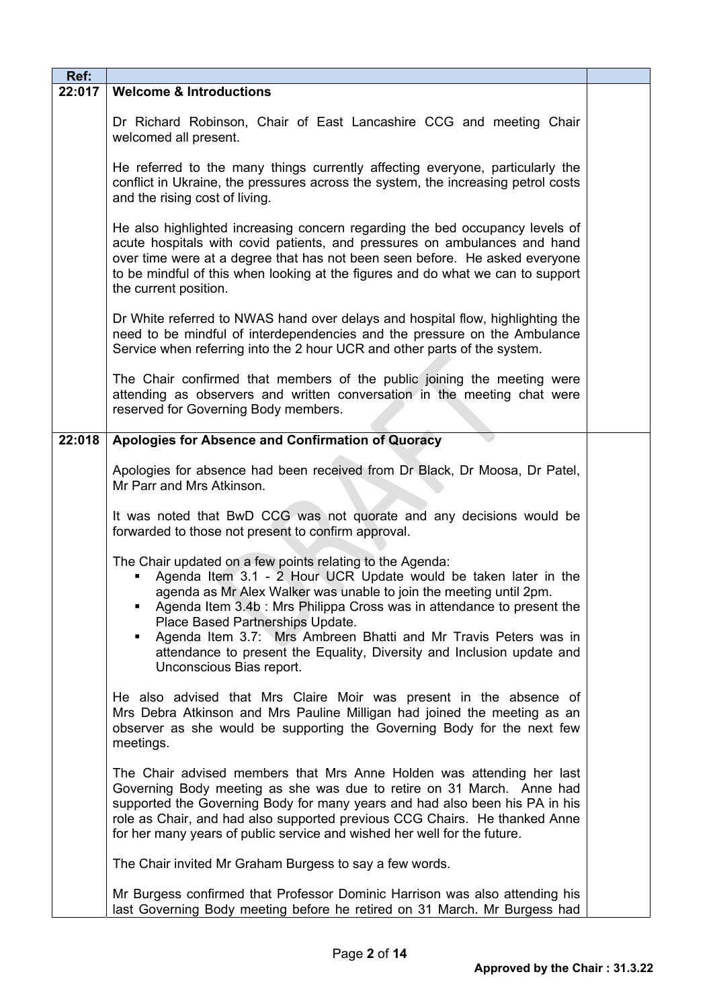| Ref:   |                                                                                                                                                                                                                                                                                                                                                                                                                                                                                                |  |
|--------|------------------------------------------------------------------------------------------------------------------------------------------------------------------------------------------------------------------------------------------------------------------------------------------------------------------------------------------------------------------------------------------------------------------------------------------------------------------------------------------------|--|
| 22:017 | <b>Welcome &amp; Introductions</b>                                                                                                                                                                                                                                                                                                                                                                                                                                                             |  |
|        | Dr Richard Robinson, Chair of East Lancashire CCG and meeting Chair<br>welcomed all present.                                                                                                                                                                                                                                                                                                                                                                                                   |  |
|        | He referred to the many things currently affecting everyone, particularly the<br>conflict in Ukraine, the pressures across the system, the increasing petrol costs<br>and the rising cost of living.                                                                                                                                                                                                                                                                                           |  |
|        | He also highlighted increasing concern regarding the bed occupancy levels of<br>acute hospitals with covid patients, and pressures on ambulances and hand<br>over time were at a degree that has not been seen before. He asked everyone<br>to be mindful of this when looking at the figures and do what we can to support<br>the current position.                                                                                                                                           |  |
|        | Dr White referred to NWAS hand over delays and hospital flow, highlighting the<br>need to be mindful of interdependencies and the pressure on the Ambulance<br>Service when referring into the 2 hour UCR and other parts of the system.                                                                                                                                                                                                                                                       |  |
|        | The Chair confirmed that members of the public joining the meeting were<br>attending as observers and written conversation in the meeting chat were<br>reserved for Governing Body members.                                                                                                                                                                                                                                                                                                    |  |
| 22:018 | Apologies for Absence and Confirmation of Quoracy                                                                                                                                                                                                                                                                                                                                                                                                                                              |  |
|        | Apologies for absence had been received from Dr Black, Dr Moosa, Dr Patel,<br>Mr Parr and Mrs Atkinson.                                                                                                                                                                                                                                                                                                                                                                                        |  |
|        | It was noted that BwD CCG was not quorate and any decisions would be<br>forwarded to those not present to confirm approval.                                                                                                                                                                                                                                                                                                                                                                    |  |
|        | The Chair updated on a few points relating to the Agenda:<br>Agenda Item 3.1 - 2 Hour UCR Update would be taken later in the<br>agenda as Mr Alex Walker was unable to join the meeting until 2pm.<br>Agenda Item 3.4b : Mrs Philippa Cross was in attendance to present the<br>Place Based Partnerships Update.<br>Agenda Item 3.7: Mrs Ambreen Bhatti and Mr Travis Peters was in<br>٠<br>attendance to present the Equality, Diversity and Inclusion update and<br>Unconscious Bias report. |  |
|        | He also advised that Mrs Claire Moir was present in the absence of<br>Mrs Debra Atkinson and Mrs Pauline Milligan had joined the meeting as an<br>observer as she would be supporting the Governing Body for the next few<br>meetings.                                                                                                                                                                                                                                                         |  |
|        | The Chair advised members that Mrs Anne Holden was attending her last<br>Governing Body meeting as she was due to retire on 31 March. Anne had<br>supported the Governing Body for many years and had also been his PA in his<br>role as Chair, and had also supported previous CCG Chairs. He thanked Anne<br>for her many years of public service and wished her well for the future.                                                                                                        |  |
|        | The Chair invited Mr Graham Burgess to say a few words.                                                                                                                                                                                                                                                                                                                                                                                                                                        |  |
|        | Mr Burgess confirmed that Professor Dominic Harrison was also attending his<br>last Governing Body meeting before he retired on 31 March. Mr Burgess had                                                                                                                                                                                                                                                                                                                                       |  |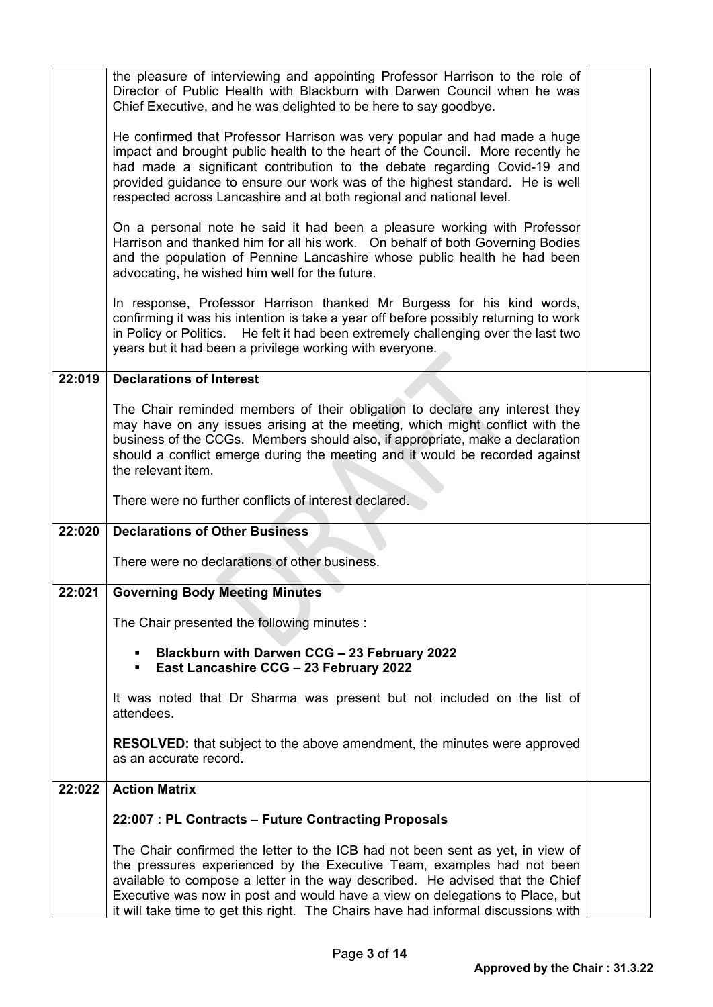|        | the pleasure of interviewing and appointing Professor Harrison to the role of<br>Director of Public Health with Blackburn with Darwen Council when he was<br>Chief Executive, and he was delighted to be here to say goodbye.                                                                                                                                                                                   |  |
|--------|-----------------------------------------------------------------------------------------------------------------------------------------------------------------------------------------------------------------------------------------------------------------------------------------------------------------------------------------------------------------------------------------------------------------|--|
|        | He confirmed that Professor Harrison was very popular and had made a huge<br>impact and brought public health to the heart of the Council. More recently he<br>had made a significant contribution to the debate regarding Covid-19 and<br>provided guidance to ensure our work was of the highest standard. He is well<br>respected across Lancashire and at both regional and national level.                 |  |
|        | On a personal note he said it had been a pleasure working with Professor<br>Harrison and thanked him for all his work. On behalf of both Governing Bodies<br>and the population of Pennine Lancashire whose public health he had been<br>advocating, he wished him well for the future.                                                                                                                         |  |
|        | In response, Professor Harrison thanked Mr Burgess for his kind words,<br>confirming it was his intention is take a year off before possibly returning to work<br>in Policy or Politics.<br>He felt it had been extremely challenging over the last two<br>years but it had been a privilege working with everyone.                                                                                             |  |
| 22:019 | <b>Declarations of Interest</b>                                                                                                                                                                                                                                                                                                                                                                                 |  |
|        | The Chair reminded members of their obligation to declare any interest they<br>may have on any issues arising at the meeting, which might conflict with the<br>business of the CCGs. Members should also, if appropriate, make a declaration<br>should a conflict emerge during the meeting and it would be recorded against<br>the relevant item.                                                              |  |
|        | There were no further conflicts of interest declared.                                                                                                                                                                                                                                                                                                                                                           |  |
| 22:020 | <b>Declarations of Other Business</b>                                                                                                                                                                                                                                                                                                                                                                           |  |
|        | There were no declarations of other business.                                                                                                                                                                                                                                                                                                                                                                   |  |
| 22:021 | <b>Governing Body Meeting Minutes</b>                                                                                                                                                                                                                                                                                                                                                                           |  |
|        | The Chair presented the following minutes :                                                                                                                                                                                                                                                                                                                                                                     |  |
|        | Blackburn with Darwen CCG - 23 February 2022<br><b>East Lancashire CCG - 23 February 2022</b><br>٠                                                                                                                                                                                                                                                                                                              |  |
|        | It was noted that Dr Sharma was present but not included on the list of<br>attendees.                                                                                                                                                                                                                                                                                                                           |  |
|        | <b>RESOLVED:</b> that subject to the above amendment, the minutes were approved<br>as an accurate record.                                                                                                                                                                                                                                                                                                       |  |
| 22:022 | <b>Action Matrix</b>                                                                                                                                                                                                                                                                                                                                                                                            |  |
|        | 22:007 : PL Contracts - Future Contracting Proposals                                                                                                                                                                                                                                                                                                                                                            |  |
|        | The Chair confirmed the letter to the ICB had not been sent as yet, in view of<br>the pressures experienced by the Executive Team, examples had not been<br>available to compose a letter in the way described. He advised that the Chief<br>Executive was now in post and would have a view on delegations to Place, but<br>it will take time to get this right. The Chairs have had informal discussions with |  |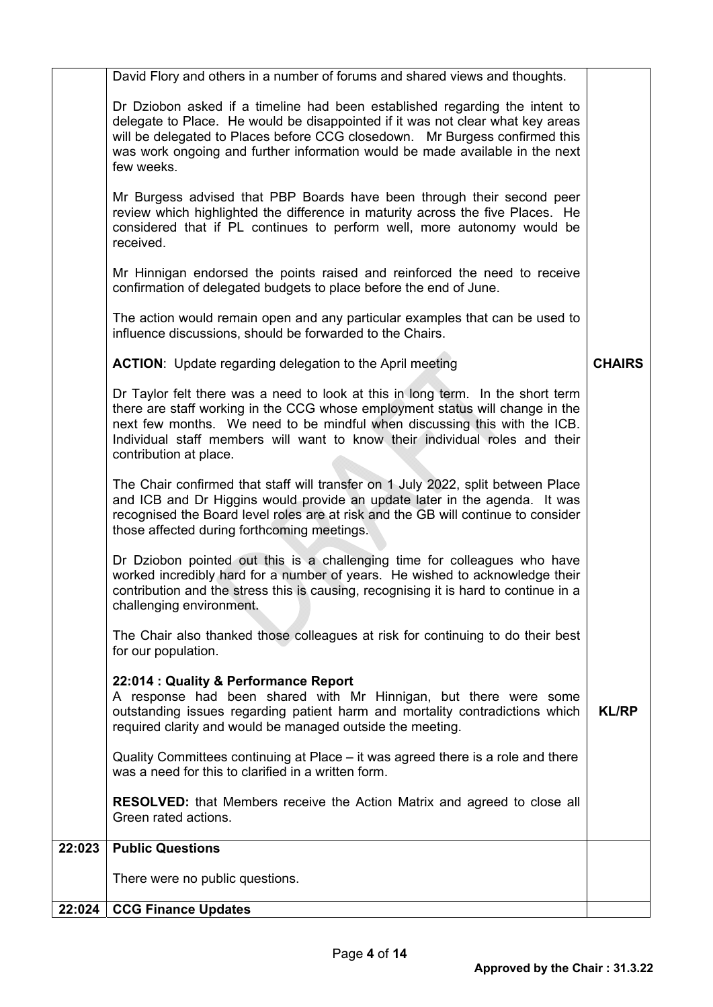| 22:024 | <b>CCG Finance Updates</b>                                                                                                                                                                                                                                                                                                                             |               |
|--------|--------------------------------------------------------------------------------------------------------------------------------------------------------------------------------------------------------------------------------------------------------------------------------------------------------------------------------------------------------|---------------|
|        | There were no public questions.                                                                                                                                                                                                                                                                                                                        |               |
| 22:023 | <b>Public Questions</b>                                                                                                                                                                                                                                                                                                                                |               |
|        | <b>RESOLVED:</b> that Members receive the Action Matrix and agreed to close all<br>Green rated actions.                                                                                                                                                                                                                                                |               |
|        | Quality Committees continuing at Place – it was agreed there is a role and there<br>was a need for this to clarified in a written form.                                                                                                                                                                                                                |               |
|        | 22:014 : Quality & Performance Report<br>A response had been shared with Mr Hinnigan, but there were some<br>outstanding issues regarding patient harm and mortality contradictions which<br>required clarity and would be managed outside the meeting.                                                                                                | <b>KL/RP</b>  |
|        | The Chair also thanked those colleagues at risk for continuing to do their best<br>for our population.                                                                                                                                                                                                                                                 |               |
|        | Dr Dziobon pointed out this is a challenging time for colleagues who have<br>worked incredibly hard for a number of years. He wished to acknowledge their<br>contribution and the stress this is causing, recognising it is hard to continue in a<br>challenging environment.                                                                          |               |
|        | The Chair confirmed that staff will transfer on 1 July 2022, split between Place<br>and ICB and Dr Higgins would provide an update later in the agenda. It was<br>recognised the Board level roles are at risk and the GB will continue to consider<br>those affected during forthcoming meetings.                                                     |               |
|        | Dr Taylor felt there was a need to look at this in long term. In the short term<br>there are staff working in the CCG whose employment status will change in the<br>next few months. We need to be mindful when discussing this with the ICB.<br>Individual staff members will want to know their individual roles and their<br>contribution at place. |               |
|        | <b>ACTION:</b> Update regarding delegation to the April meeting                                                                                                                                                                                                                                                                                        | <b>CHAIRS</b> |
|        | The action would remain open and any particular examples that can be used to<br>influence discussions, should be forwarded to the Chairs.                                                                                                                                                                                                              |               |
|        | Mr Hinnigan endorsed the points raised and reinforced the need to receive<br>confirmation of delegated budgets to place before the end of June.                                                                                                                                                                                                        |               |
|        | Mr Burgess advised that PBP Boards have been through their second peer<br>review which highlighted the difference in maturity across the five Places. He<br>considered that if PL continues to perform well, more autonomy would be<br>received.                                                                                                       |               |
|        | Dr Dziobon asked if a timeline had been established regarding the intent to<br>delegate to Place. He would be disappointed if it was not clear what key areas<br>will be delegated to Places before CCG closedown. Mr Burgess confirmed this<br>was work ongoing and further information would be made available in the next<br>few weeks.             |               |
|        | David Flory and others in a number of forums and shared views and thoughts.                                                                                                                                                                                                                                                                            |               |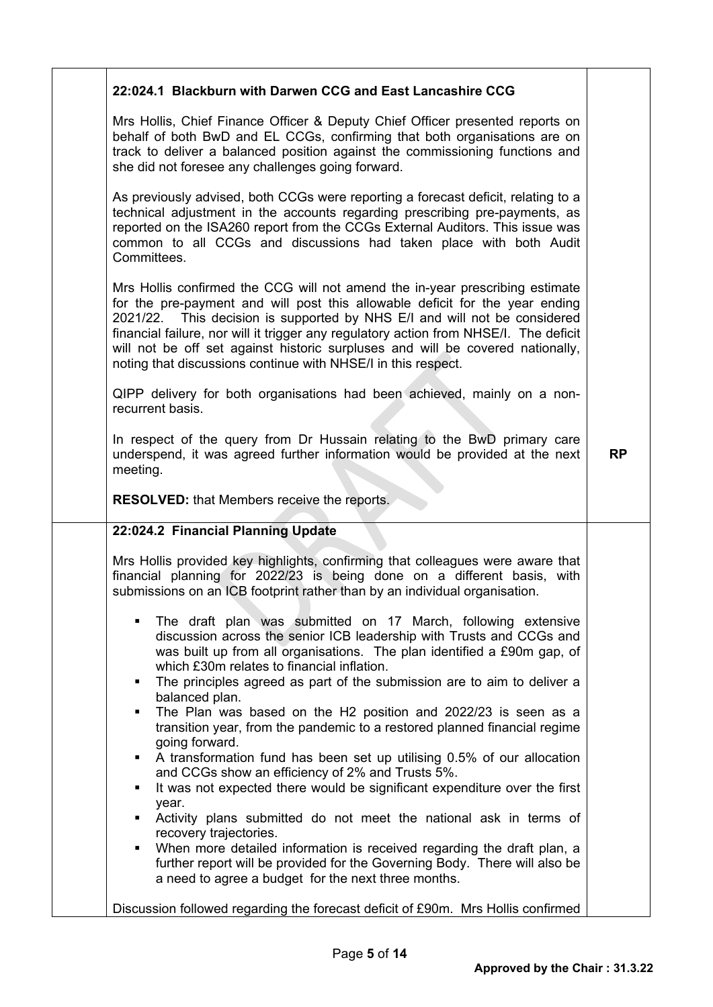| 22:024.1 Blackburn with Darwen CCG and East Lancashire CCG                                                                                                                                                                                                                                                                                                                                                                                                                            |           |
|---------------------------------------------------------------------------------------------------------------------------------------------------------------------------------------------------------------------------------------------------------------------------------------------------------------------------------------------------------------------------------------------------------------------------------------------------------------------------------------|-----------|
| Mrs Hollis, Chief Finance Officer & Deputy Chief Officer presented reports on<br>behalf of both BwD and EL CCGs, confirming that both organisations are on<br>track to deliver a balanced position against the commissioning functions and<br>she did not foresee any challenges going forward.                                                                                                                                                                                       |           |
| As previously advised, both CCGs were reporting a forecast deficit, relating to a<br>technical adjustment in the accounts regarding prescribing pre-payments, as<br>reported on the ISA260 report from the CCGs External Auditors. This issue was<br>common to all CCGs and discussions had taken place with both Audit<br>Committees.                                                                                                                                                |           |
| Mrs Hollis confirmed the CCG will not amend the in-year prescribing estimate<br>for the pre-payment and will post this allowable deficit for the year ending<br>2021/22. This decision is supported by NHS E/I and will not be considered<br>financial failure, nor will it trigger any regulatory action from NHSE/I. The deficit<br>will not be off set against historic surpluses and will be covered nationally,<br>noting that discussions continue with NHSE/I in this respect. |           |
| QIPP delivery for both organisations had been achieved, mainly on a non-<br>recurrent basis.                                                                                                                                                                                                                                                                                                                                                                                          |           |
| In respect of the query from Dr Hussain relating to the BwD primary care<br>underspend, it was agreed further information would be provided at the next<br>meeting.                                                                                                                                                                                                                                                                                                                   | <b>RP</b> |
| <b>RESOLVED:</b> that Members receive the reports.                                                                                                                                                                                                                                                                                                                                                                                                                                    |           |
| 22:024.2 Financial Planning Update                                                                                                                                                                                                                                                                                                                                                                                                                                                    |           |
| Mrs Hollis provided key highlights, confirming that colleagues were aware that<br>financial planning for 2022/23 is being done on a different basis, with<br>submissions on an ICB footprint rather than by an individual organisation.                                                                                                                                                                                                                                               |           |
| The draft plan was submitted on 17 March, following extensive<br>discussion across the senior ICB leadership with Trusts and CCGs and<br>was built up from all organisations. The plan identified a £90m gap, of<br>which £30m relates to financial inflation.<br>The principles agreed as part of the submission are to aim to deliver a<br>٠                                                                                                                                        |           |
| balanced plan.<br>The Plan was based on the H2 position and 2022/23 is seen as a<br>٠<br>transition year, from the pandemic to a restored planned financial regime<br>going forward.                                                                                                                                                                                                                                                                                                  |           |
| A transformation fund has been set up utilising 0.5% of our allocation<br>$\blacksquare$<br>and CCGs show an efficiency of 2% and Trusts 5%.<br>It was not expected there would be significant expenditure over the first                                                                                                                                                                                                                                                             |           |
| year.<br>Activity plans submitted do not meet the national ask in terms of                                                                                                                                                                                                                                                                                                                                                                                                            |           |
| recovery trajectories.<br>When more detailed information is received regarding the draft plan, a<br>٠<br>further report will be provided for the Governing Body. There will also be<br>a need to agree a budget for the next three months.                                                                                                                                                                                                                                            |           |
| Discussion followed regarding the forecast deficit of £90m. Mrs Hollis confirmed                                                                                                                                                                                                                                                                                                                                                                                                      |           |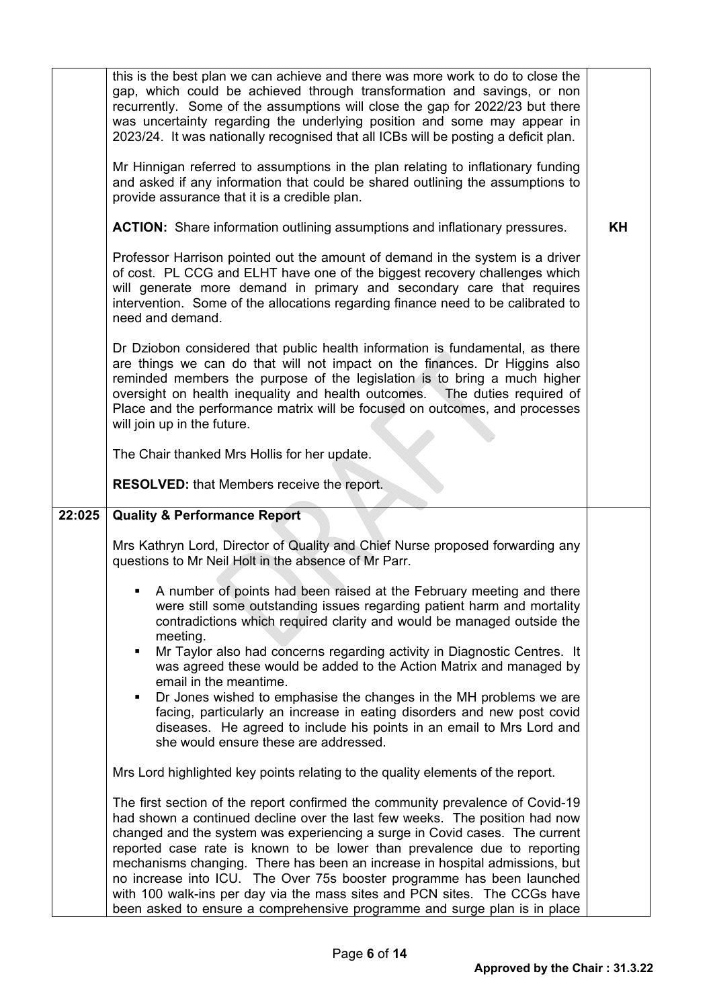|        | this is the best plan we can achieve and there was more work to do to close the<br>gap, which could be achieved through transformation and savings, or non<br>recurrently. Some of the assumptions will close the gap for 2022/23 but there<br>was uncertainty regarding the underlying position and some may appear in<br>2023/24. It was nationally recognised that all ICBs will be posting a deficit plan.<br>Mr Hinnigan referred to assumptions in the plan relating to inflationary funding<br>and asked if any information that could be shared outlining the assumptions to<br>provide assurance that it is a credible plan. |    |
|--------|---------------------------------------------------------------------------------------------------------------------------------------------------------------------------------------------------------------------------------------------------------------------------------------------------------------------------------------------------------------------------------------------------------------------------------------------------------------------------------------------------------------------------------------------------------------------------------------------------------------------------------------|----|
|        | <b>ACTION:</b> Share information outlining assumptions and inflationary pressures.                                                                                                                                                                                                                                                                                                                                                                                                                                                                                                                                                    | KH |
|        | Professor Harrison pointed out the amount of demand in the system is a driver<br>of cost. PL CCG and ELHT have one of the biggest recovery challenges which<br>will generate more demand in primary and secondary care that requires<br>intervention. Some of the allocations regarding finance need to be calibrated to<br>need and demand.                                                                                                                                                                                                                                                                                          |    |
|        | Dr Dziobon considered that public health information is fundamental, as there<br>are things we can do that will not impact on the finances. Dr Higgins also<br>reminded members the purpose of the legislation is to bring a much higher<br>oversight on health inequality and health outcomes. The duties required of<br>Place and the performance matrix will be focused on outcomes, and processes<br>will join up in the future.                                                                                                                                                                                                  |    |
|        | The Chair thanked Mrs Hollis for her update.                                                                                                                                                                                                                                                                                                                                                                                                                                                                                                                                                                                          |    |
|        | <b>RESOLVED:</b> that Members receive the report.                                                                                                                                                                                                                                                                                                                                                                                                                                                                                                                                                                                     |    |
| 22:025 | <b>Quality &amp; Performance Report</b>                                                                                                                                                                                                                                                                                                                                                                                                                                                                                                                                                                                               |    |
|        | Mrs Kathryn Lord, Director of Quality and Chief Nurse proposed forwarding any<br>questions to Mr Neil Holt in the absence of Mr Parr.                                                                                                                                                                                                                                                                                                                                                                                                                                                                                                 |    |
|        | A number of points had been raised at the February meeting and there<br>were still some outstanding issues regarding patient harm and mortality<br>contradictions which required clarity and would be managed outside the<br>meeting.<br>Mr Taylor also had concerns regarding activity in Diagnostic Centres. It<br>٠<br>was agreed these would be added to the Action Matrix and managed by<br>email in the meantime.<br>Dr Jones wished to emphasise the changes in the MH problems we are                                                                                                                                         |    |
|        | facing, particularly an increase in eating disorders and new post covid<br>diseases. He agreed to include his points in an email to Mrs Lord and<br>she would ensure these are addressed.                                                                                                                                                                                                                                                                                                                                                                                                                                             |    |
|        | Mrs Lord highlighted key points relating to the quality elements of the report.                                                                                                                                                                                                                                                                                                                                                                                                                                                                                                                                                       |    |
|        | The first section of the report confirmed the community prevalence of Covid-19<br>had shown a continued decline over the last few weeks. The position had now<br>changed and the system was experiencing a surge in Covid cases. The current<br>reported case rate is known to be lower than prevalence due to reporting<br>mechanisms changing. There has been an increase in hospital admissions, but<br>no increase into ICU. The Over 75s booster programme has been launched<br>with 100 walk-ins per day via the mass sites and PCN sites. The CCGs have                                                                        |    |
|        | been asked to ensure a comprehensive programme and surge plan is in place                                                                                                                                                                                                                                                                                                                                                                                                                                                                                                                                                             |    |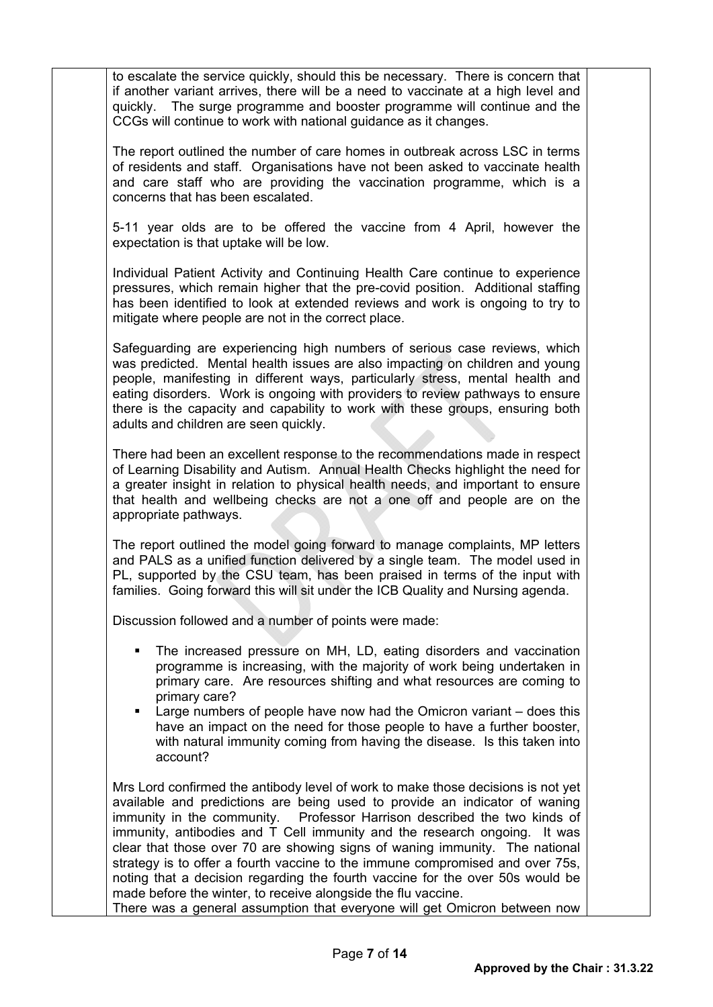to escalate the service quickly, should this be necessary. There is concern that if another variant arrives, there will be a need to vaccinate at a high level and quickly. The surge programme and booster programme will continue and the CCGs will continue to work with national guidance as it changes.

The report outlined the number of care homes in outbreak across LSC in terms of residents and staff. Organisations have not been asked to vaccinate health and care staff who are providing the vaccination programme, which is a concerns that has been escalated.

5-11 year olds are to be offered the vaccine from 4 April, however the expectation is that uptake will be low.

Individual Patient Activity and Continuing Health Care continue to experience pressures, which remain higher that the pre-covid position. Additional staffing has been identified to look at extended reviews and work is ongoing to try to mitigate where people are not in the correct place.

Safeguarding are experiencing high numbers of serious case reviews, which was predicted. Mental health issues are also impacting on children and young people, manifesting in different ways, particularly stress, mental health and eating disorders. Work is ongoing with providers to review pathways to ensure there is the capacity and capability to work with these groups, ensuring both adults and children are seen quickly.

There had been an excellent response to the recommendations made in respect of Learning Disability and Autism. Annual Health Checks highlight the need for a greater insight in relation to physical health needs, and important to ensure that health and wellbeing checks are not a one off and people are on the appropriate pathways.

The report outlined the model going forward to manage complaints, MP letters and PALS as a unified function delivered by a single team. The model used in PL, supported by the CSU team, has been praised in terms of the input with families. Going forward this will sit under the ICB Quality and Nursing agenda.

Discussion followed and a number of points were made:

- The increased pressure on MH, LD, eating disorders and vaccination programme is increasing, with the majority of work being undertaken in primary care. Are resources shifting and what resources are coming to primary care?
- Large numbers of people have now had the Omicron variant does this have an impact on the need for those people to have a further booster, with natural immunity coming from having the disease. Is this taken into account?

Mrs Lord confirmed the antibody level of work to make those decisions is not yet available and predictions are being used to provide an indicator of waning immunity in the community. Professor Harrison described the two kinds of immunity, antibodies and T Cell immunity and the research ongoing. It was clear that those over 70 are showing signs of waning immunity. The national strategy is to offer a fourth vaccine to the immune compromised and over 75s, noting that a decision regarding the fourth vaccine for the over 50s would be made before the winter, to receive alongside the flu vaccine. There was a general assumption that everyone will get Omicron between now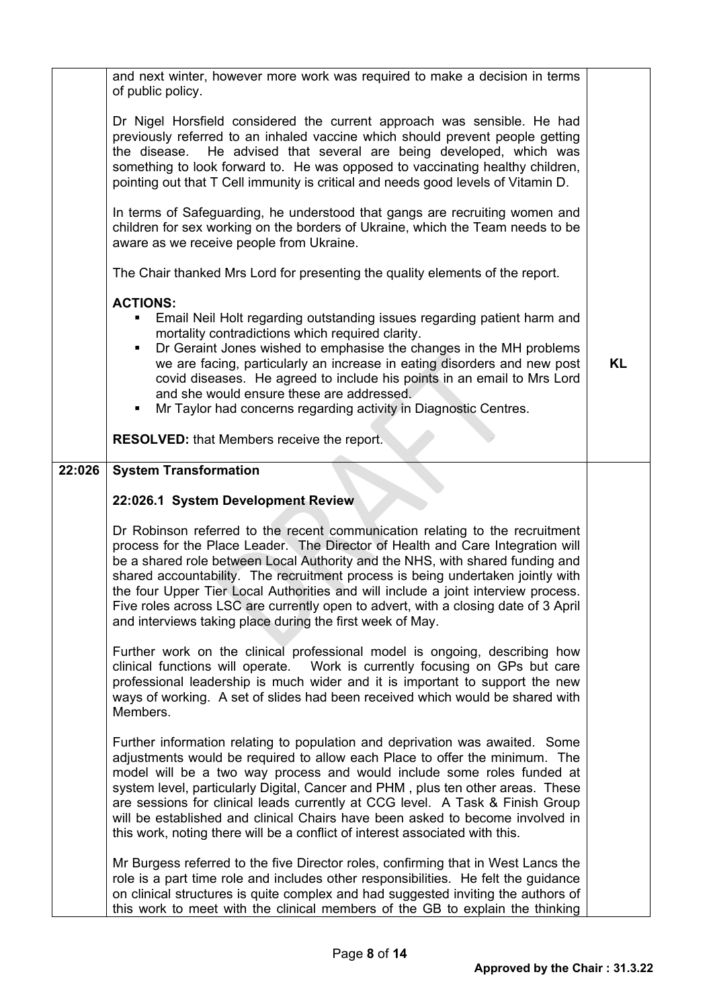|        | and next winter, however more work was required to make a decision in terms<br>of public policy.                                                                                                                                                                                                                                                                                                                                                                                                                                                                           |           |
|--------|----------------------------------------------------------------------------------------------------------------------------------------------------------------------------------------------------------------------------------------------------------------------------------------------------------------------------------------------------------------------------------------------------------------------------------------------------------------------------------------------------------------------------------------------------------------------------|-----------|
|        | Dr Nigel Horsfield considered the current approach was sensible. He had<br>previously referred to an inhaled vaccine which should prevent people getting<br>He advised that several are being developed, which was<br>the disease.<br>something to look forward to. He was opposed to vaccinating healthy children,<br>pointing out that T Cell immunity is critical and needs good levels of Vitamin D.                                                                                                                                                                   |           |
|        | In terms of Safeguarding, he understood that gangs are recruiting women and<br>children for sex working on the borders of Ukraine, which the Team needs to be<br>aware as we receive people from Ukraine.                                                                                                                                                                                                                                                                                                                                                                  |           |
|        | The Chair thanked Mrs Lord for presenting the quality elements of the report.                                                                                                                                                                                                                                                                                                                                                                                                                                                                                              |           |
|        | <b>ACTIONS:</b><br>Email Neil Holt regarding outstanding issues regarding patient harm and<br>٠<br>mortality contradictions which required clarity.<br>Dr Geraint Jones wished to emphasise the changes in the MH problems<br>we are facing, particularly an increase in eating disorders and new post<br>covid diseases. He agreed to include his points in an email to Mrs Lord<br>and she would ensure these are addressed.<br>Mr Taylor had concerns regarding activity in Diagnostic Centres.                                                                         | <b>KL</b> |
|        | <b>RESOLVED:</b> that Members receive the report.                                                                                                                                                                                                                                                                                                                                                                                                                                                                                                                          |           |
| 22:026 | <b>System Transformation</b>                                                                                                                                                                                                                                                                                                                                                                                                                                                                                                                                               |           |
|        | 22:026.1 System Development Review                                                                                                                                                                                                                                                                                                                                                                                                                                                                                                                                         |           |
|        | Dr Robinson referred to the recent communication relating to the recruitment<br>process for the Place Leader. The Director of Health and Care Integration will<br>be a shared role between Local Authority and the NHS, with shared funding and<br>shared accountability. The recruitment process is being undertaken jointly with<br>the four Upper Tier Local Authorities and will include a joint interview process.<br>Five roles across LSC are currently open to advert, with a closing date of 3 April<br>and interviews taking place during the first week of May. |           |
|        | Further work on the clinical professional model is ongoing, describing how<br>clinical functions will operate.  Work is currently focusing on GPs but care<br>professional leadership is much wider and it is important to support the new<br>ways of working. A set of slides had been received which would be shared with<br>Members.                                                                                                                                                                                                                                    |           |
|        | Further information relating to population and deprivation was awaited. Some<br>adjustments would be required to allow each Place to offer the minimum. The<br>model will be a two way process and would include some roles funded at<br>system level, particularly Digital, Cancer and PHM, plus ten other areas. These<br>are sessions for clinical leads currently at CCG level. A Task & Finish Group<br>will be established and clinical Chairs have been asked to become involved in<br>this work, noting there will be a conflict of interest associated with this. |           |
|        | Mr Burgess referred to the five Director roles, confirming that in West Lancs the<br>role is a part time role and includes other responsibilities. He felt the quidance<br>on clinical structures is quite complex and had suggested inviting the authors of<br>this work to meet with the clinical members of the GB to explain the thinking                                                                                                                                                                                                                              |           |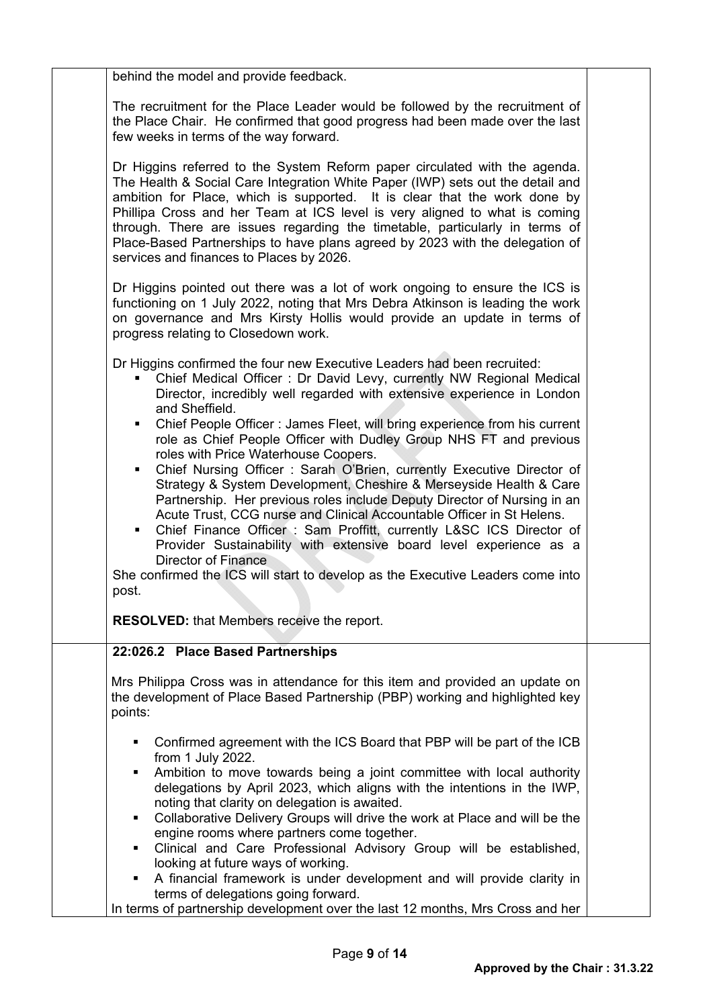| behind the model and provide feedback.                                                                                                                                                                                                                                                                                                                                                                                                                                                                                                                                                                                                                                                                                                                                           |  |
|----------------------------------------------------------------------------------------------------------------------------------------------------------------------------------------------------------------------------------------------------------------------------------------------------------------------------------------------------------------------------------------------------------------------------------------------------------------------------------------------------------------------------------------------------------------------------------------------------------------------------------------------------------------------------------------------------------------------------------------------------------------------------------|--|
| The recruitment for the Place Leader would be followed by the recruitment of<br>the Place Chair. He confirmed that good progress had been made over the last<br>few weeks in terms of the way forward.                                                                                                                                                                                                                                                                                                                                                                                                                                                                                                                                                                           |  |
| Dr Higgins referred to the System Reform paper circulated with the agenda.<br>The Health & Social Care Integration White Paper (IWP) sets out the detail and<br>ambition for Place, which is supported. It is clear that the work done by<br>Phillipa Cross and her Team at ICS level is very aligned to what is coming<br>through. There are issues regarding the timetable, particularly in terms of<br>Place-Based Partnerships to have plans agreed by 2023 with the delegation of<br>services and finances to Places by 2026.                                                                                                                                                                                                                                               |  |
| Dr Higgins pointed out there was a lot of work ongoing to ensure the ICS is<br>functioning on 1 July 2022, noting that Mrs Debra Atkinson is leading the work<br>on governance and Mrs Kirsty Hollis would provide an update in terms of<br>progress relating to Closedown work.                                                                                                                                                                                                                                                                                                                                                                                                                                                                                                 |  |
| Dr Higgins confirmed the four new Executive Leaders had been recruited:<br>Chief Medical Officer: Dr David Levy, currently NW Regional Medical<br>Director, incredibly well regarded with extensive experience in London<br>and Sheffield.                                                                                                                                                                                                                                                                                                                                                                                                                                                                                                                                       |  |
| Chief People Officer: James Fleet, will bring experience from his current<br>٠<br>role as Chief People Officer with Dudley Group NHS FT and previous<br>roles with Price Waterhouse Coopers.<br>Chief Nursing Officer: Sarah O'Brien, currently Executive Director of<br>٠<br>Strategy & System Development, Cheshire & Merseyside Health & Care<br>Partnership. Her previous roles include Deputy Director of Nursing in an<br>Acute Trust, CCG nurse and Clinical Accountable Officer in St Helens.<br>Chief Finance Officer: Sam Proffitt, currently L&SC ICS Director of<br>٠<br>Provider Sustainability with extensive board level experience as a<br><b>Director of Finance</b><br>She confirmed the ICS will start to develop as the Executive Leaders come into<br>post. |  |
| <b>RESOLVED:</b> that Members receive the report.                                                                                                                                                                                                                                                                                                                                                                                                                                                                                                                                                                                                                                                                                                                                |  |
|                                                                                                                                                                                                                                                                                                                                                                                                                                                                                                                                                                                                                                                                                                                                                                                  |  |
| 22:026.2 Place Based Partnerships<br>Mrs Philippa Cross was in attendance for this item and provided an update on<br>the development of Place Based Partnership (PBP) working and highlighted key<br>points:                                                                                                                                                                                                                                                                                                                                                                                                                                                                                                                                                                     |  |
| Confirmed agreement with the ICS Board that PBP will be part of the ICB<br>٠<br>from 1 July 2022.<br>Ambition to move towards being a joint committee with local authority<br>٠<br>delegations by April 2023, which aligns with the intentions in the IWP,<br>noting that clarity on delegation is awaited.<br>Collaborative Delivery Groups will drive the work at Place and will be the<br>٠<br>engine rooms where partners come together.<br>Clinical and Care Professional Advisory Group will be established,<br>٠<br>looking at future ways of working.<br>A financial framework is under development and will provide clarity in<br>٠                                                                                                                                     |  |
| terms of delegations going forward.<br>In terms of partnership development over the last 12 months, Mrs Cross and her                                                                                                                                                                                                                                                                                                                                                                                                                                                                                                                                                                                                                                                            |  |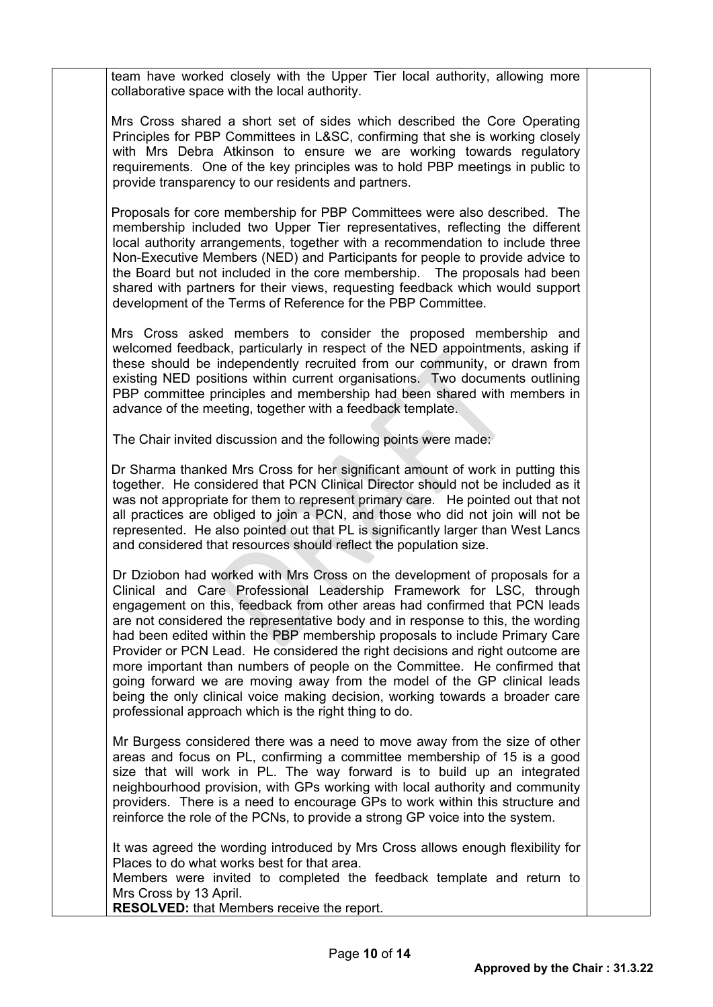team have worked closely with the Upper Tier local authority, allowing more collaborative space with the local authority.

Mrs Cross shared a short set of sides which described the Core Operating Principles for PBP Committees in L&SC, confirming that she is working closely with Mrs Debra Atkinson to ensure we are working towards regulatory requirements. One of the key principles was to hold PBP meetings in public to provide transparency to our residents and partners.

Proposals for core membership for PBP Committees were also described. The membership included two Upper Tier representatives, reflecting the different local authority arrangements, together with a recommendation to include three Non-Executive Members (NED) and Participants for people to provide advice to the Board but not included in the core membership. The proposals had been shared with partners for their views, requesting feedback which would support development of the Terms of Reference for the PBP Committee.

Mrs Cross asked members to consider the proposed membership and welcomed feedback, particularly in respect of the NED appointments, asking if these should be independently recruited from our community, or drawn from existing NED positions within current organisations. Two documents outlining PBP committee principles and membership had been shared with members in advance of the meeting, together with a feedback template.

The Chair invited discussion and the following points were made:

Dr Sharma thanked Mrs Cross for her significant amount of work in putting this together. He considered that PCN Clinical Director should not be included as it was not appropriate for them to represent primary care. He pointed out that not all practices are obliged to join a PCN, and those who did not join will not be represented. He also pointed out that PL is significantly larger than West Lancs and considered that resources should reflect the population size.

Dr Dziobon had worked with Mrs Cross on the development of proposals for a Clinical and Care Professional Leadership Framework for LSC, through engagement on this, feedback from other areas had confirmed that PCN leads are not considered the representative body and in response to this, the wording had been edited within the PBP membership proposals to include Primary Care Provider or PCN Lead. He considered the right decisions and right outcome are more important than numbers of people on the Committee. He confirmed that going forward we are moving away from the model of the GP clinical leads being the only clinical voice making decision, working towards a broader care professional approach which is the right thing to do.

Mr Burgess considered there was a need to move away from the size of other areas and focus on PL, confirming a committee membership of 15 is a good size that will work in PL. The way forward is to build up an integrated neighbourhood provision, with GPs working with local authority and community providers. There is a need to encourage GPs to work within this structure and reinforce the role of the PCNs, to provide a strong GP voice into the system.

It was agreed the wording introduced by Mrs Cross allows enough flexibility for Places to do what works best for that area.

Members were invited to completed the feedback template and return to Mrs Cross by 13 April.

**RESOLVED:** that Members receive the report.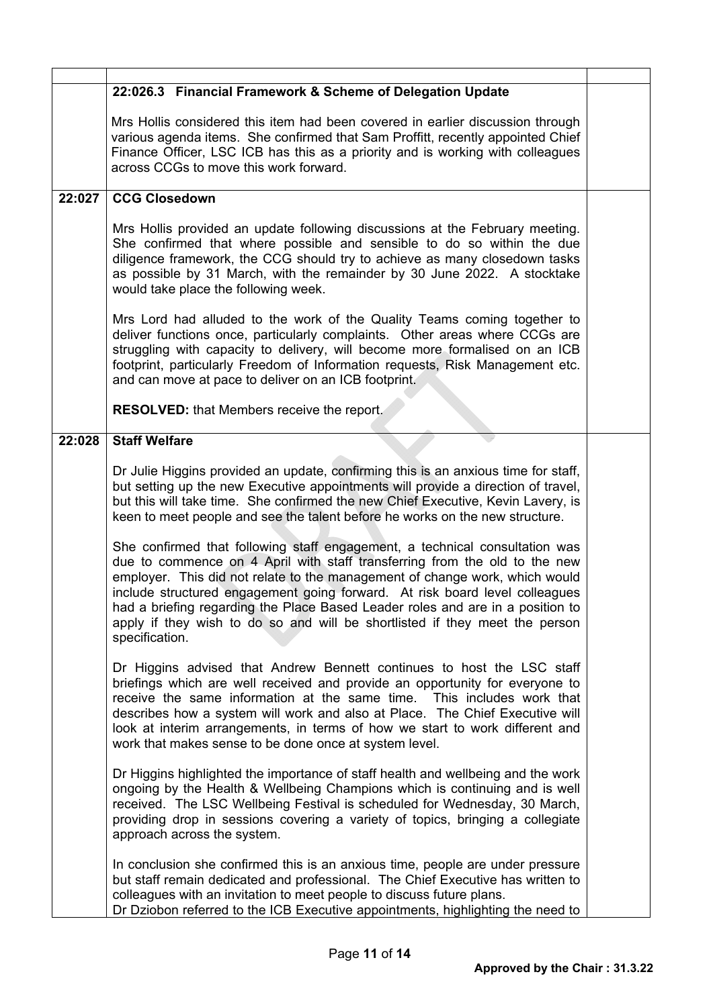|        | 22:026.3 Financial Framework & Scheme of Delegation Update                                                                                                                                                                                                                                                                                                                                                                                                                                                 |  |
|--------|------------------------------------------------------------------------------------------------------------------------------------------------------------------------------------------------------------------------------------------------------------------------------------------------------------------------------------------------------------------------------------------------------------------------------------------------------------------------------------------------------------|--|
|        | Mrs Hollis considered this item had been covered in earlier discussion through<br>various agenda items. She confirmed that Sam Proffitt, recently appointed Chief<br>Finance Officer, LSC ICB has this as a priority and is working with colleagues<br>across CCGs to move this work forward.                                                                                                                                                                                                              |  |
| 22:027 | <b>CCG Closedown</b>                                                                                                                                                                                                                                                                                                                                                                                                                                                                                       |  |
|        | Mrs Hollis provided an update following discussions at the February meeting.<br>She confirmed that where possible and sensible to do so within the due<br>diligence framework, the CCG should try to achieve as many closedown tasks<br>as possible by 31 March, with the remainder by 30 June 2022. A stocktake<br>would take place the following week.                                                                                                                                                   |  |
|        | Mrs Lord had alluded to the work of the Quality Teams coming together to<br>deliver functions once, particularly complaints. Other areas where CCGs are<br>struggling with capacity to delivery, will become more formalised on an ICB<br>footprint, particularly Freedom of Information requests, Risk Management etc.<br>and can move at pace to deliver on an ICB footprint.                                                                                                                            |  |
|        | <b>RESOLVED:</b> that Members receive the report.                                                                                                                                                                                                                                                                                                                                                                                                                                                          |  |
| 22:028 | <b>Staff Welfare</b>                                                                                                                                                                                                                                                                                                                                                                                                                                                                                       |  |
|        | Dr Julie Higgins provided an update, confirming this is an anxious time for staff,<br>but setting up the new Executive appointments will provide a direction of travel,<br>but this will take time. She confirmed the new Chief Executive, Kevin Lavery, is<br>keen to meet people and see the talent before he works on the new structure.                                                                                                                                                                |  |
|        | She confirmed that following staff engagement, a technical consultation was<br>due to commence on 4 April with staff transferring from the old to the new<br>employer. This did not relate to the management of change work, which would<br>include structured engagement going forward. At risk board level colleagues<br>had a briefing regarding the Place Based Leader roles and are in a position to<br>apply if they wish to do so and will be shortlisted if they meet the person<br>specification. |  |
|        | Dr Higgins advised that Andrew Bennett continues to host the LSC staff<br>briefings which are well received and provide an opportunity for everyone to<br>receive the same information at the same time. This includes work that<br>describes how a system will work and also at Place. The Chief Executive will<br>look at interim arrangements, in terms of how we start to work different and<br>work that makes sense to be done once at system level.                                                 |  |
|        | Dr Higgins highlighted the importance of staff health and wellbeing and the work<br>ongoing by the Health & Wellbeing Champions which is continuing and is well<br>received. The LSC Wellbeing Festival is scheduled for Wednesday, 30 March,<br>providing drop in sessions covering a variety of topics, bringing a collegiate<br>approach across the system.                                                                                                                                             |  |
|        | In conclusion she confirmed this is an anxious time, people are under pressure<br>but staff remain dedicated and professional. The Chief Executive has written to<br>colleagues with an invitation to meet people to discuss future plans.<br>Dr Dziobon referred to the ICB Executive appointments, highlighting the need to                                                                                                                                                                              |  |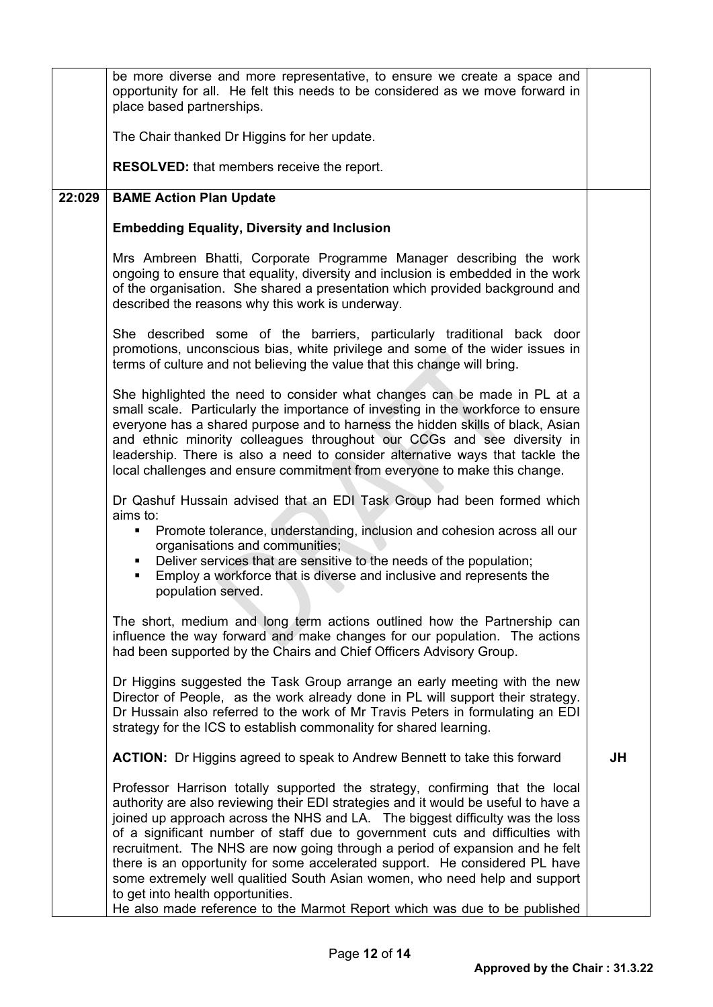|        | be more diverse and more representative, to ensure we create a space and<br>opportunity for all. He felt this needs to be considered as we move forward in<br>place based partnerships.                                                                                                                                                                                                                                                                                                                                                                                                                                                                                                             |           |
|--------|-----------------------------------------------------------------------------------------------------------------------------------------------------------------------------------------------------------------------------------------------------------------------------------------------------------------------------------------------------------------------------------------------------------------------------------------------------------------------------------------------------------------------------------------------------------------------------------------------------------------------------------------------------------------------------------------------------|-----------|
|        | The Chair thanked Dr Higgins for her update.                                                                                                                                                                                                                                                                                                                                                                                                                                                                                                                                                                                                                                                        |           |
|        | <b>RESOLVED:</b> that members receive the report.                                                                                                                                                                                                                                                                                                                                                                                                                                                                                                                                                                                                                                                   |           |
| 22:029 | <b>BAME Action Plan Update</b>                                                                                                                                                                                                                                                                                                                                                                                                                                                                                                                                                                                                                                                                      |           |
|        | <b>Embedding Equality, Diversity and Inclusion</b>                                                                                                                                                                                                                                                                                                                                                                                                                                                                                                                                                                                                                                                  |           |
|        | Mrs Ambreen Bhatti, Corporate Programme Manager describing the work<br>ongoing to ensure that equality, diversity and inclusion is embedded in the work<br>of the organisation. She shared a presentation which provided background and<br>described the reasons why this work is underway.                                                                                                                                                                                                                                                                                                                                                                                                         |           |
|        | She described some of the barriers, particularly traditional back door<br>promotions, unconscious bias, white privilege and some of the wider issues in<br>terms of culture and not believing the value that this change will bring.                                                                                                                                                                                                                                                                                                                                                                                                                                                                |           |
|        | She highlighted the need to consider what changes can be made in PL at a<br>small scale. Particularly the importance of investing in the workforce to ensure<br>everyone has a shared purpose and to harness the hidden skills of black, Asian<br>and ethnic minority colleagues throughout our CCGs and see diversity in<br>leadership. There is also a need to consider alternative ways that tackle the<br>local challenges and ensure commitment from everyone to make this change.                                                                                                                                                                                                             |           |
|        | Dr Qashuf Hussain advised that an EDI Task Group had been formed which<br>aims to:<br>Promote tolerance, understanding, inclusion and cohesion across all our<br>٠<br>organisations and communities;<br>Deliver services that are sensitive to the needs of the population;<br>٠<br>Employ a workforce that is diverse and inclusive and represents the<br>population served.                                                                                                                                                                                                                                                                                                                       |           |
|        | The short, medium and long term actions outlined how the Partnership can<br>influence the way forward and make changes for our population. The actions<br>had been supported by the Chairs and Chief Officers Advisory Group.                                                                                                                                                                                                                                                                                                                                                                                                                                                                       |           |
|        | Dr Higgins suggested the Task Group arrange an early meeting with the new<br>Director of People, as the work already done in PL will support their strategy.<br>Dr Hussain also referred to the work of Mr Travis Peters in formulating an EDI<br>strategy for the ICS to establish commonality for shared learning.                                                                                                                                                                                                                                                                                                                                                                                |           |
|        | <b>ACTION:</b> Dr Higgins agreed to speak to Andrew Bennett to take this forward                                                                                                                                                                                                                                                                                                                                                                                                                                                                                                                                                                                                                    | <b>JH</b> |
|        | Professor Harrison totally supported the strategy, confirming that the local<br>authority are also reviewing their EDI strategies and it would be useful to have a<br>joined up approach across the NHS and LA. The biggest difficulty was the loss<br>of a significant number of staff due to government cuts and difficulties with<br>recruitment. The NHS are now going through a period of expansion and he felt<br>there is an opportunity for some accelerated support. He considered PL have<br>some extremely well qualitied South Asian women, who need help and support<br>to get into health opportunities.<br>He also made reference to the Marmot Report which was due to be published |           |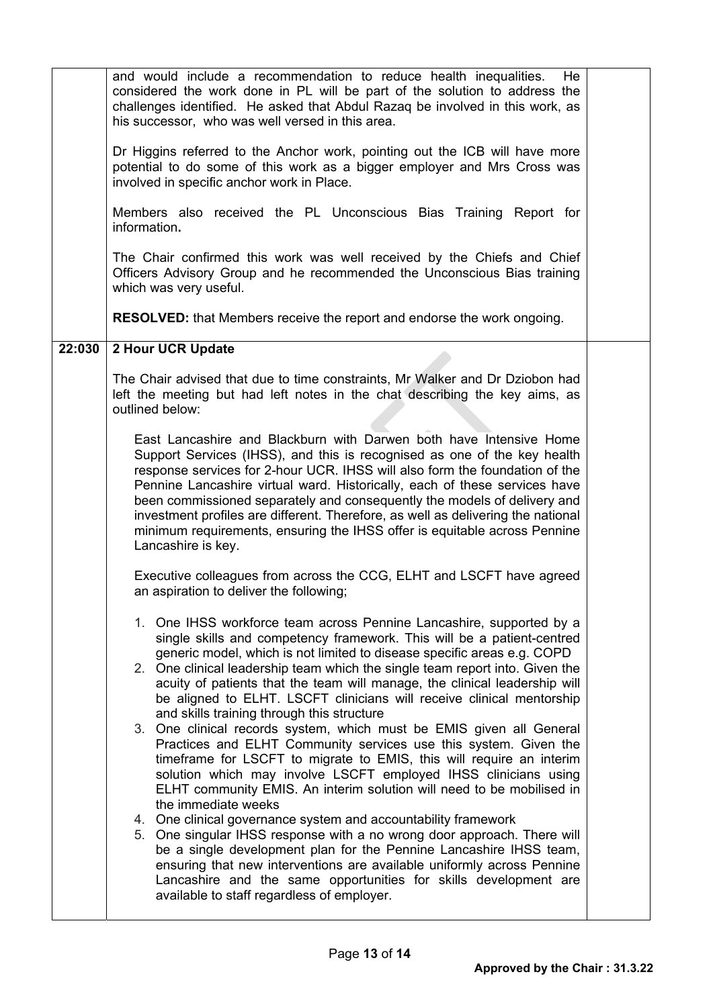|        | and would include a recommendation to reduce health inequalities.<br>He l<br>considered the work done in PL will be part of the solution to address the<br>challenges identified. He asked that Abdul Razaq be involved in this work, as<br>his successor, who was well versed in this area.<br>Dr Higgins referred to the Anchor work, pointing out the ICB will have more<br>potential to do some of this work as a bigger employer and Mrs Cross was<br>involved in specific anchor work in Place.<br>Members also received the PL Unconscious Bias Training Report for<br>information.<br>The Chair confirmed this work was well received by the Chiefs and Chief<br>Officers Advisory Group and he recommended the Unconscious Bias training<br>which was very useful.<br><b>RESOLVED:</b> that Members receive the report and endorse the work ongoing.                                                                                                                                                                                                                                                                                                                                                                                                                                                                                                                                                                                                                                                                                                                                                                                                                                                                                                                                                                                                                                                                                                                                                                                                                                                                                                                                                                    |  |
|--------|----------------------------------------------------------------------------------------------------------------------------------------------------------------------------------------------------------------------------------------------------------------------------------------------------------------------------------------------------------------------------------------------------------------------------------------------------------------------------------------------------------------------------------------------------------------------------------------------------------------------------------------------------------------------------------------------------------------------------------------------------------------------------------------------------------------------------------------------------------------------------------------------------------------------------------------------------------------------------------------------------------------------------------------------------------------------------------------------------------------------------------------------------------------------------------------------------------------------------------------------------------------------------------------------------------------------------------------------------------------------------------------------------------------------------------------------------------------------------------------------------------------------------------------------------------------------------------------------------------------------------------------------------------------------------------------------------------------------------------------------------------------------------------------------------------------------------------------------------------------------------------------------------------------------------------------------------------------------------------------------------------------------------------------------------------------------------------------------------------------------------------------------------------------------------------------------------------------------------------|--|
|        |                                                                                                                                                                                                                                                                                                                                                                                                                                                                                                                                                                                                                                                                                                                                                                                                                                                                                                                                                                                                                                                                                                                                                                                                                                                                                                                                                                                                                                                                                                                                                                                                                                                                                                                                                                                                                                                                                                                                                                                                                                                                                                                                                                                                                                  |  |
| 22:030 | 2 Hour UCR Update<br>The Chair advised that due to time constraints, Mr Walker and Dr Dziobon had<br>left the meeting but had left notes in the chat describing the key aims, as<br>outlined below:<br>East Lancashire and Blackburn with Darwen both have Intensive Home<br>Support Services (IHSS), and this is recognised as one of the key health<br>response services for 2-hour UCR. IHSS will also form the foundation of the<br>Pennine Lancashire virtual ward. Historically, each of these services have<br>been commissioned separately and consequently the models of delivery and<br>investment profiles are different. Therefore, as well as delivering the national<br>minimum requirements, ensuring the IHSS offer is equitable across Pennine<br>Lancashire is key.<br>Executive colleagues from across the CCG, ELHT and LSCFT have agreed<br>an aspiration to deliver the following;<br>1. One IHSS workforce team across Pennine Lancashire, supported by a<br>single skills and competency framework. This will be a patient-centred<br>generic model, which is not limited to disease specific areas e.g. COPD<br>2. One clinical leadership team which the single team report into. Given the<br>acuity of patients that the team will manage, the clinical leadership will<br>be aligned to ELHT. LSCFT clinicians will receive clinical mentorship<br>and skills training through this structure<br>3. One clinical records system, which must be EMIS given all General<br>Practices and ELHT Community services use this system. Given the<br>timeframe for LSCFT to migrate to EMIS, this will require an interim<br>solution which may involve LSCFT employed IHSS clinicians using<br>ELHT community EMIS. An interim solution will need to be mobilised in<br>the immediate weeks<br>4. One clinical governance system and accountability framework<br>5. One singular IHSS response with a no wrong door approach. There will<br>be a single development plan for the Pennine Lancashire IHSS team,<br>ensuring that new interventions are available uniformly across Pennine<br>Lancashire and the same opportunities for skills development are<br>available to staff regardless of employer. |  |